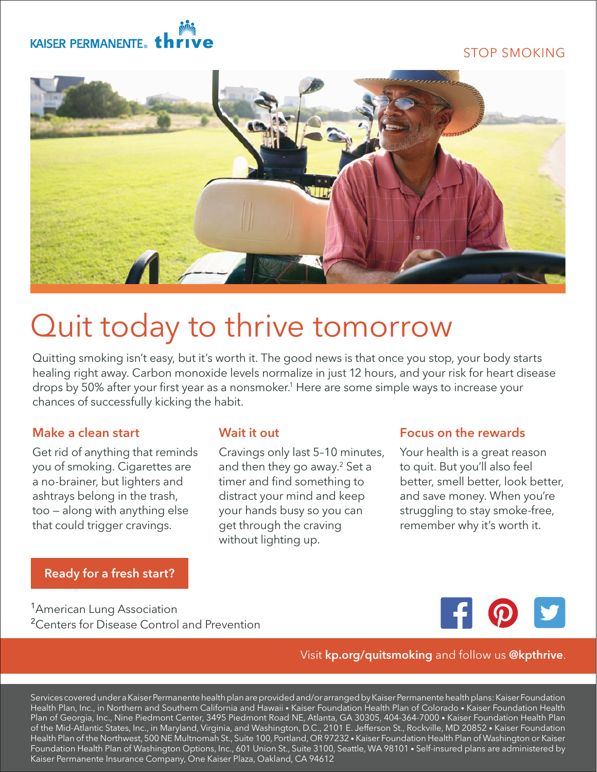# KAISER PERMANENTE. th

# STOP SMOKING



# Quit today to thrive tomorrow

Quitting smoking isn't easy, but it's worth it. The good news is that once you stop, your body starts healing right away. Carbon monoxide levels normalize in just 12 hours, and your risk for heart disease drops by 50% after your first year as a nonsmoker.1 Here are some simple ways to increase your chances of successfully kicking the habit.

## Make a clean start

Get rid of anything that reminds you of smoking. Cigarettes are a no-brainer, but lighters and ashtrays belong in the trash, too — along with anything else that could trigger cravings.

# [Ready for a fresh start?](http://kp.org/quitsmoking)

### Wait it out

Cravings only last 5–10 minutes, and then they go away.<sup>2</sup> Set a timer and find something to distract your mind and keep your hands busy so you can get through the craving without lighting up.

### Focus on the rewards

Your health is a great reason to quit. But you'll also feel better, smell better, look better, and save money. When you're struggling to stay smoke-free, remember why it's worth it.

<sup>1</sup>American Lung Association <sup>2</sup> Centers for Disease Control and Prevention



### Visit kp.org/quitsmoking and follow us @kpthrive.

Services covered under a Kaiser Permanente health plan are provided and/or arranged by Kaiser Permanente health plans: Kaiser Foundation Health Plan, Inc., in Northern and Southern California and Hawaii • Kaiser Foundation Health Plan of Colorado • Kaiser Foundation Health Plan of Georgia, Inc., Nine Piedmont Center, 3495 Piedmont Road NE, Atlanta, GA 30305, 404-364-7000 • Kaiser Foundation Health Plan of the Mid-Atlantic States, Inc., in Maryland, Virginia, and Washington, D.C., 2101 E. Jefferson St., Rockville, MD 20852 • Kaiser Foundation Health Plan of the Northwest, 500 NE Multnomah St., Suite 100, Portland, OR 97232 • Kaiser Foundation Health Plan of Washington or Kaiser Foundation Health Plan of Washington Options, Inc., 601 Union St., Suite 3100, Seattle, WA 98101 • Self-insured plans are administered by Kaiser Permanente Insurance Company, One Kaiser Plaza, Oakland, CA 94612